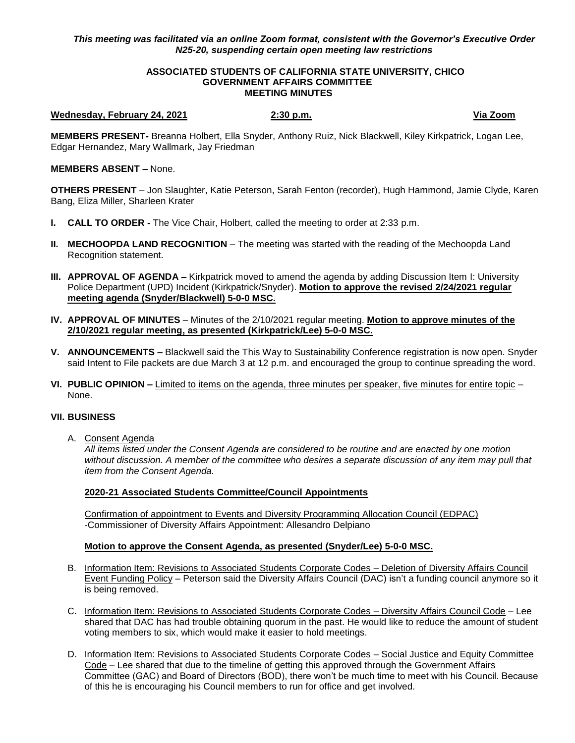# *This meeting was facilitated via an online Zoom format, consistent with the Governor's Executive Order N25-20, suspending certain open meeting law restrictions*

### **ASSOCIATED STUDENTS OF CALIFORNIA STATE UNIVERSITY, CHICO GOVERNMENT AFFAIRS COMMITTEE MEETING MINUTES**

### **Wednesday, February 24, 2021 2:30 p.m. Via Zoom**

**MEMBERS PRESENT-** Breanna Holbert, Ella Snyder, Anthony Ruiz, Nick Blackwell, Kiley Kirkpatrick, Logan Lee, Edgar Hernandez, Mary Wallmark, Jay Friedman

## **MEMBERS ABSENT –** None.

**OTHERS PRESENT** – Jon Slaughter, Katie Peterson, Sarah Fenton (recorder), Hugh Hammond, Jamie Clyde, Karen Bang, Eliza Miller, Sharleen Krater

- **I. CALL TO ORDER -** The Vice Chair, Holbert, called the meeting to order at 2:33 p.m.
- **II. MECHOOPDA LAND RECOGNITION** The meeting was started with the reading of the Mechoopda Land Recognition statement.
- **III. APPROVAL OF AGENDA –** Kirkpatrick moved to amend the agenda by adding Discussion Item I: University Police Department (UPD) Incident (Kirkpatrick/Snyder). **Motion to approve the revised 2/24/2021 regular meeting agenda (Snyder/Blackwell) 5-0-0 MSC.**
- **IV. APPROVAL OF MINUTES** Minutes of the 2/10/2021 regular meeting. **Motion to approve minutes of the 2/10/2021 regular meeting, as presented (Kirkpatrick/Lee) 5-0-0 MSC.**
- **V. ANNOUNCEMENTS –** Blackwell said the This Way to Sustainability Conference registration is now open. Snyder said Intent to File packets are due March 3 at 12 p.m. and encouraged the group to continue spreading the word.
- **VI. PUBLIC OPINION –** Limited to items on the agenda, three minutes per speaker, five minutes for entire topic None.

## **VII. BUSINESS**

A. Consent Agenda

*All items listed under the Consent Agenda are considered to be routine and are enacted by one motion without discussion. A member of the committee who desires a separate discussion of any item may pull that item from the Consent Agenda.* 

## **2020-21 Associated Students Committee/Council Appointments**

Confirmation of appointment to Events and Diversity Programming Allocation Council (EDPAC) -Commissioner of Diversity Affairs Appointment: Allesandro Delpiano

## **Motion to approve the Consent Agenda, as presented (Snyder/Lee) 5-0-0 MSC.**

- B. Information Item: Revisions to Associated Students Corporate Codes Deletion of Diversity Affairs Council Event Funding Policy – Peterson said the Diversity Affairs Council (DAC) isn't a funding council anymore so it is being removed.
- C. Information Item: Revisions to Associated Students Corporate Codes Diversity Affairs Council Code Lee shared that DAC has had trouble obtaining quorum in the past. He would like to reduce the amount of student voting members to six, which would make it easier to hold meetings.
- D. Information Item: Revisions to Associated Students Corporate Codes Social Justice and Equity Committee Code – Lee shared that due to the timeline of getting this approved through the Government Affairs Committee (GAC) and Board of Directors (BOD), there won't be much time to meet with his Council. Because of this he is encouraging his Council members to run for office and get involved.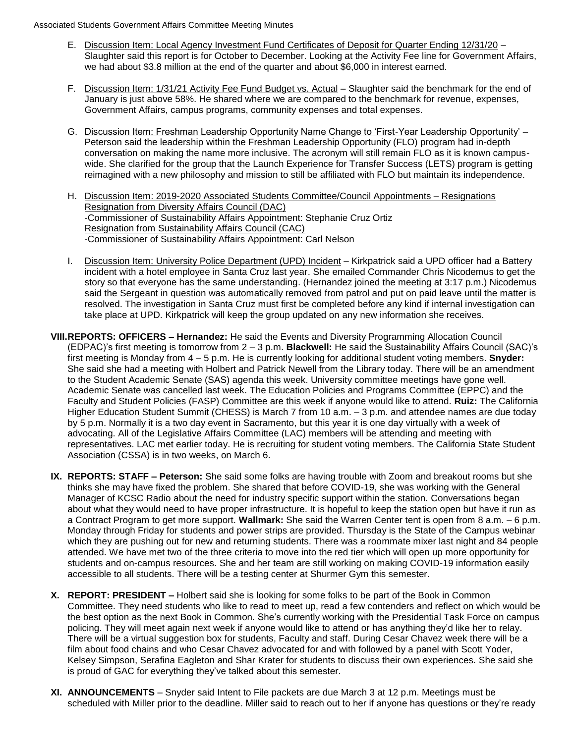- E. Discussion Item: Local Agency Investment Fund Certificates of Deposit for Quarter Ending 12/31/20 Slaughter said this report is for October to December. Looking at the Activity Fee line for Government Affairs, we had about \$3.8 million at the end of the quarter and about \$6,000 in interest earned.
- F. Discussion Item: 1/31/21 Activity Fee Fund Budget vs. Actual Slaughter said the benchmark for the end of January is just above 58%. He shared where we are compared to the benchmark for revenue, expenses, Government Affairs, campus programs, community expenses and total expenses.
- G. Discussion Item: Freshman Leadership Opportunity Name Change to 'First-Year Leadership Opportunity' Peterson said the leadership within the Freshman Leadership Opportunity (FLO) program had in-depth conversation on making the name more inclusive. The acronym will still remain FLO as it is known campuswide. She clarified for the group that the Launch Experience for Transfer Success (LETS) program is getting reimagined with a new philosophy and mission to still be affiliated with FLO but maintain its independence.
- H. Discussion Item: 2019-2020 Associated Students Committee/Council Appointments Resignations Resignation from Diversity Affairs Council (DAC) -Commissioner of Sustainability Affairs Appointment: Stephanie Cruz Ortiz Resignation from Sustainability Affairs Council (CAC) -Commissioner of Sustainability Affairs Appointment: Carl Nelson
- I. Discussion Item: University Police Department (UPD) Incident Kirkpatrick said a UPD officer had a Battery incident with a hotel employee in Santa Cruz last year. She emailed Commander Chris Nicodemus to get the story so that everyone has the same understanding. (Hernandez joined the meeting at 3:17 p.m.) Nicodemus said the Sergeant in question was automatically removed from patrol and put on paid leave until the matter is resolved. The investigation in Santa Cruz must first be completed before any kind if internal investigation can take place at UPD. Kirkpatrick will keep the group updated on any new information she receives.
- **VIII.REPORTS: OFFICERS – Hernandez:** He said the Events and Diversity Programming Allocation Council (EDPAC)'s first meeting is tomorrow from 2 – 3 p.m. **Blackwell:** He said the Sustainability Affairs Council (SAC)'s first meeting is Monday from 4 – 5 p.m. He is currently looking for additional student voting members. **Snyder:** She said she had a meeting with Holbert and Patrick Newell from the Library today. There will be an amendment to the Student Academic Senate (SAS) agenda this week. University committee meetings have gone well. Academic Senate was cancelled last week. The Education Policies and Programs Committee (EPPC) and the Faculty and Student Policies (FASP) Committee are this week if anyone would like to attend. **Ruiz:** The California Higher Education Student Summit (CHESS) is March 7 from 10 a.m. – 3 p.m. and attendee names are due today by 5 p.m. Normally it is a two day event in Sacramento, but this year it is one day virtually with a week of advocating. All of the Legislative Affairs Committee (LAC) members will be attending and meeting with representatives. LAC met earlier today. He is recruiting for student voting members. The California State Student Association (CSSA) is in two weeks, on March 6.
- **IX. REPORTS: STAFF – Peterson:** She said some folks are having trouble with Zoom and breakout rooms but she thinks she may have fixed the problem. She shared that before COVID-19, she was working with the General Manager of KCSC Radio about the need for industry specific support within the station. Conversations began about what they would need to have proper infrastructure. It is hopeful to keep the station open but have it run as a Contract Program to get more support. **Wallmark:** She said the Warren Center tent is open from 8 a.m. – 6 p.m. Monday through Friday for students and power strips are provided. Thursday is the State of the Campus webinar which they are pushing out for new and returning students. There was a roommate mixer last night and 84 people attended. We have met two of the three criteria to move into the red tier which will open up more opportunity for students and on-campus resources. She and her team are still working on making COVID-19 information easily accessible to all students. There will be a testing center at Shurmer Gym this semester.
- **X. REPORT: PRESIDENT –** Holbert said she is looking for some folks to be part of the Book in Common Committee. They need students who like to read to meet up, read a few contenders and reflect on which would be the best option as the next Book in Common. She's currently working with the Presidential Task Force on campus policing. They will meet again next week if anyone would like to attend or has anything they'd like her to relay. There will be a virtual suggestion box for students, Faculty and staff. During Cesar Chavez week there will be a film about food chains and who Cesar Chavez advocated for and with followed by a panel with Scott Yoder, Kelsey Simpson, Serafina Eagleton and Shar Krater for students to discuss their own experiences. She said she is proud of GAC for everything they've talked about this semester.
- **XI. ANNOUNCEMENTS** Snyder said Intent to File packets are due March 3 at 12 p.m. Meetings must be scheduled with Miller prior to the deadline. Miller said to reach out to her if anyone has questions or they're ready